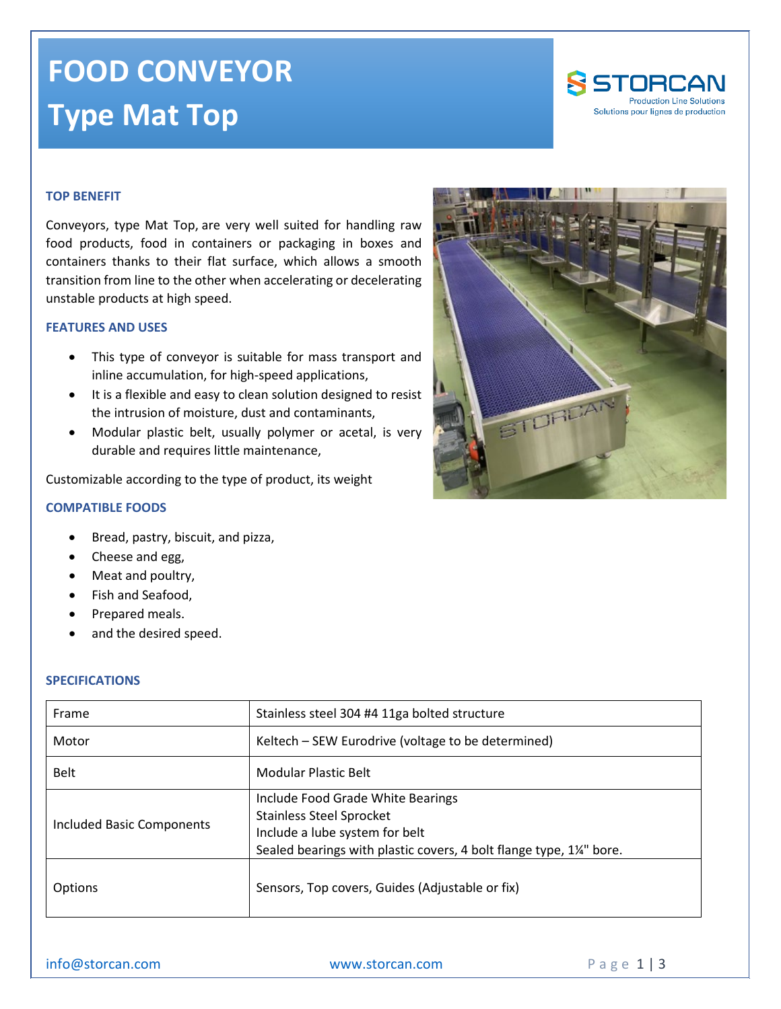# **FOOD CONVEYOR Type Mat Top**



### **TOP BENEFIT**

Conveyors, type Mat Top, are very well suited for handling raw food products, food in containers or packaging in boxes and containers thanks to their flat surface, which allows a smooth transition from line to the other when accelerating or decelerating unstable products at high speed.

#### **FEATURES AND USES**

- This type of conveyor is suitable for mass transport and inline accumulation, for high-speed applications,
- It is a flexible and easy to clean solution designed to resist the intrusion of moisture, dust and contaminants,
- Modular plastic belt, usually polymer or acetal, is very durable and requires little maintenance,

Customizable according to the type of product, its weight

#### **COMPATIBLE FOODS**

- Bread, pastry, biscuit, and pizza,
- Cheese and egg,
- Meat and poultry,
- Fish and Seafood,
- Prepared meals.
- and the desired speed.

#### **SPECIFICATIONS**

| Frame                     | Stainless steel 304 #4 11ga bolted structure                                                                                                                                               |
|---------------------------|--------------------------------------------------------------------------------------------------------------------------------------------------------------------------------------------|
| Motor                     | Keltech – SEW Eurodrive (voltage to be determined)                                                                                                                                         |
| <b>Belt</b>               | <b>Modular Plastic Belt</b>                                                                                                                                                                |
| Included Basic Components | Include Food Grade White Bearings<br><b>Stainless Steel Sprocket</b><br>Include a lube system for belt<br>Sealed bearings with plastic covers, 4 bolt flange type, 1 <sup>1/4"</sup> bore. |
| Options                   | Sensors, Top covers, Guides (Adjustable or fix)                                                                                                                                            |



[info@storcan.com](mailto:info@storcan.com) [www.storcan.com](http://www.storcan.com/) Page 1 | 3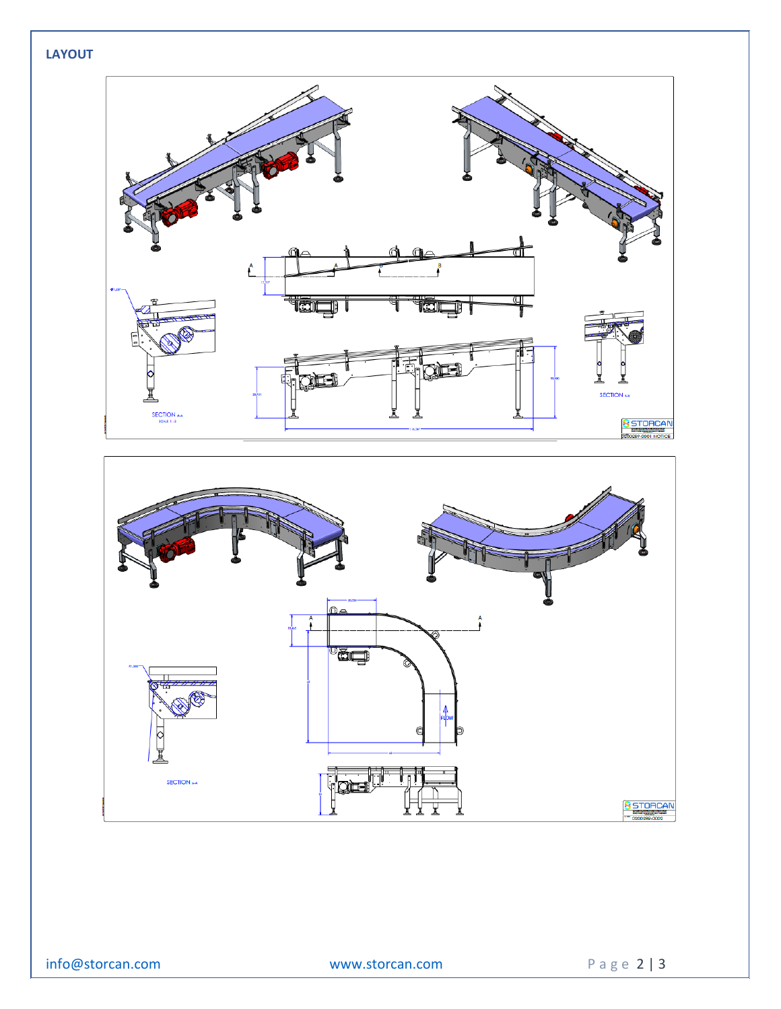## **LAYOUT**





[info@storcan.com](mailto:info@storcan.com) [www.storcan.com](http://www.storcan.com/) Page 2 | 3

020028